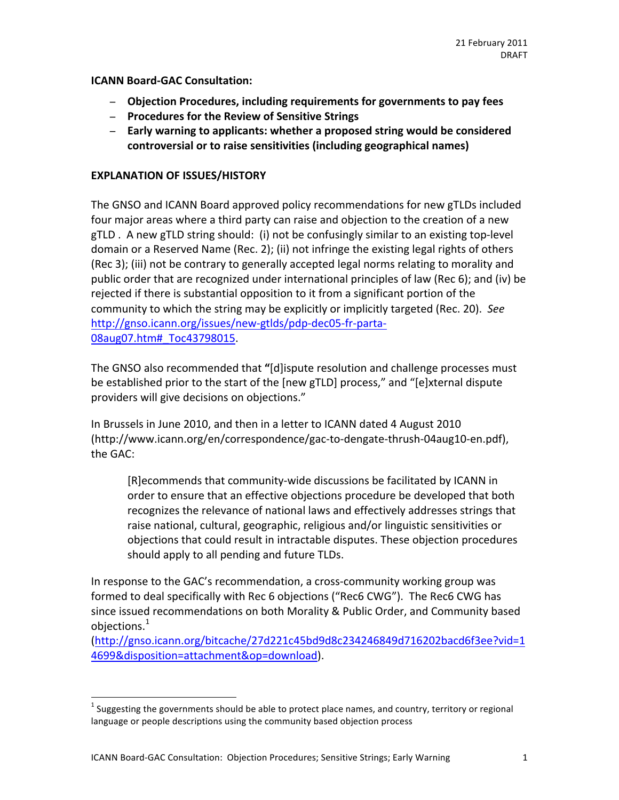**ICANN Board-GAC Consultation:** 

- − Objection Procedures, including requirements for governments to pay fees
- − **Procedures%for%the%Review%of%Sensitive%Strings%**
- − **Early%warning%to%applicants:%whether%a%proposed%string%would%be%considered%** controversial or to raise sensitivities (including geographical names)

### **EXPLANATION OF ISSUES/HISTORY**

The GNSO and ICANN Board approved policy recommendations for new gTLDs included four major areas where a third party can raise and objection to the creation of a new gTLD . A new gTLD string should: (i) not be confusingly similar to an existing top-level domain or a Reserved Name (Rec. 2); (ii) not infringe the existing legal rights of others (Rec 3); (iii) not be contrary to generally accepted legal norms relating to morality and public order that are recognized under international principles of law (Rec 6); and (iv) be rejected if there is substantial opposition to it from a significant portion of the community to which the string may be explicitly or implicitly targeted (Rec. 20). See http://gnso.icann.org/issues/new-gtlds/pdp-dec05-fr-parta-08aug07.htm# Toc43798015.

The GNSO also recommended that "[d]ispute resolution and challenge processes must be established prior to the start of the [new gTLD] process," and "[e]xternal dispute providers will give decisions on objections."

In Brussels in June 2010, and then in a letter to ICANN dated 4 August 2010 (http://www.icann.org/en/correspondence/gac-to-dengate-thrush-04aug10-en.pdf), the GAC:

[R]ecommends that community-wide discussions be facilitated by ICANN in order to ensure that an effective objections procedure be developed that both recognizes the relevance of national laws and effectively addresses strings that raise national, cultural, geographic, religious and/or linguistic sensitivities or objections that could result in intractable disputes. These objection procedures should apply to all pending and future TLDs.

In response to the GAC's recommendation, a cross-community working group was formed to deal specifically with Rec 6 objections ("Rec6 CWG"). The Rec6 CWG has since issued recommendations on both Morality & Public Order, and Community based objections.<sup>1</sup>

(http://gnso.icann.org/bitcache/27d221c45bd9d8c234246849d716202bacd6f3ee?vid=1 4699&disposition=attachment&op=download).##

 $1$  Suggesting the governments should be able to protect place names, and country, territory or regional language or people descriptions using the community based objection process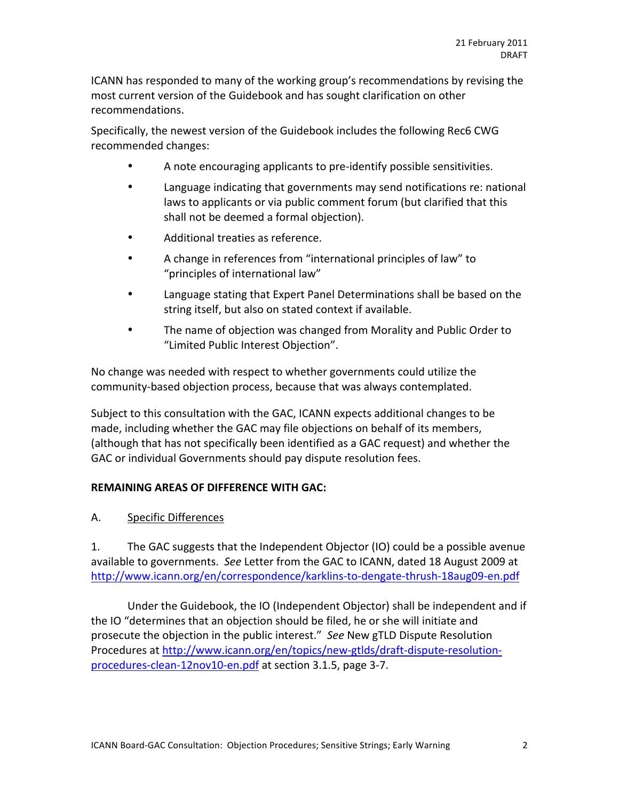ICANN has responded to many of the working group's recommendations by revising the most current version of the Guidebook and has sought clarification on other recommendations.##

Specifically, the newest version of the Guidebook includes the following Rec6 CWG recommended changes:

- A note encouraging applicants to pre-identify possible sensitivities.
- Language indicating that governments may send notifications re: national laws to applicants or via public comment forum (but clarified that this shall not be deemed a formal objection).
- Additional treaties as reference.
- A change in references from "international principles of law" to "principles of international law"
- Language stating that Expert Panel Determinations shall be based on the string itself, but also on stated context if available.
- The name of objection was changed from Morality and Public Order to "Limited Public Interest Objection".

No change was needed with respect to whether governments could utilize the community-based objection process, because that was always contemplated.

Subject to this consultation with the GAC, ICANN expects additional changes to be made, including whether the GAC may file objections on behalf of its members, (although that has not specifically been identified as a GAC request) and whether the GAC or individual Governments should pay dispute resolution fees.

## **REMAINING AREAS OF DIFFERENCE WITH GAC:**

## A. Specific Differences

1. The GAC suggests that the Independent Objector (IO) could be a possible avenue available to governments. See Letter from the GAC to ICANN, dated 18 August 2009 at http://www.icann.org/en/correspondence/karklins-to-dengate-thrush-18aug09-en.pdf

Under the Guidebook, the IO (Independent Objector) shall be independent and if the IO "determines that an objection should be filed, he or she will initiate and prosecute the objection in the public interest." *See* New gTLD Dispute Resolution Procedures at http://www.icann.org/en/topics/new-gtlds/draft-dispute-resolutionprocedures-clean-12nov10-en.pdf at section 3.1.5, page 3-7.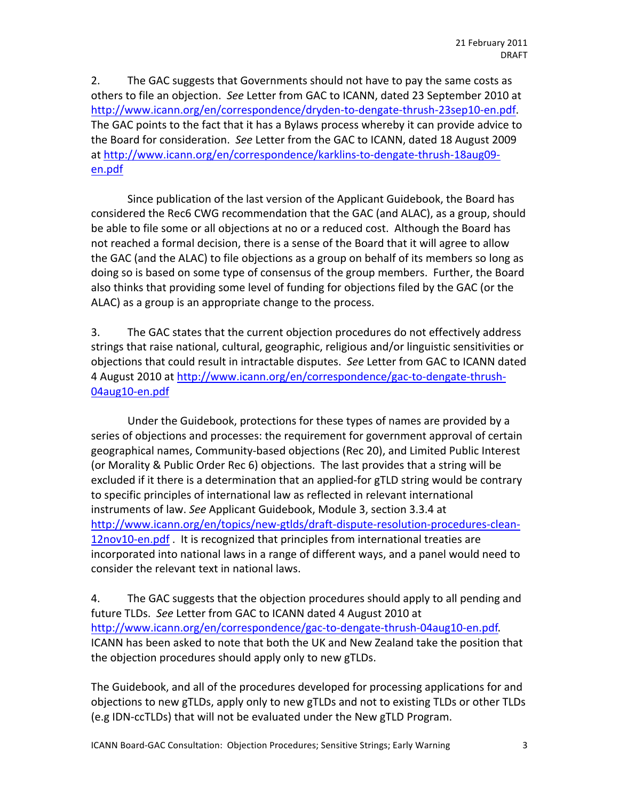2. The GAC suggests that Governments should not have to pay the same costs as others to file an objection. See Letter from GAC to ICANN, dated 23 September 2010 at http://www.icann.org/en/correspondence/dryden-to-dengate-thrush-23sep10-en.pdf. The GAC points to the fact that it has a Bylaws process whereby it can provide advice to the Board for consideration. *See* Letter from the GAC to ICANN, dated 18 August 2009 at http://www.icann.org/en/correspondence/karklins-to-dengate-thrush-18aug09en.pdf

Since publication of the last version of the Applicant Guidebook, the Board has considered the Rec6 CWG recommendation that the GAC (and ALAC), as a group, should be able to file some or all objections at no or a reduced cost. Although the Board has not reached a formal decision, there is a sense of the Board that it will agree to allow the GAC (and the ALAC) to file objections as a group on behalf of its members so long as doing so is based on some type of consensus of the group members. Further, the Board also thinks that providing some level of funding for objections filed by the GAC (or the ALAC) as a group is an appropriate change to the process.

3. The GAC states that the current objection procedures do not effectively address strings that raise national, cultural, geographic, religious and/or linguistic sensitivities or objections that could result in intractable disputes. See Letter from GAC to ICANN dated 4 August 2010 at http://www.icann.org/en/correspondence/gac-to-dengate-thrush-04aug10-en.pdf

Under the Guidebook, protections for these types of names are provided by a series of objections and processes: the requirement for government approval of certain geographical names, Community-based objections (Rec 20), and Limited Public Interest (or Morality & Public Order Rec 6) objections. The last provides that a string will be excluded if it there is a determination that an applied-for gTLD string would be contrary to specific principles of international law as reflected in relevant international instruments of law. See Applicant Guidebook, Module 3, section 3.3.4 at http://www.icann.org/en/topics/new-gtlds/draft-dispute-resolution-procedures-clean-12nov10-en.pdf . It is recognized that principles from international treaties are incorporated into national laws in a range of different ways, and a panel would need to consider the relevant text in national laws.

4. The GAC suggests that the objection procedures should apply to all pending and future TLDs. See Letter from GAC to ICANN dated 4 August 2010 at http://www.icann.org/en/correspondence/gac-to-dengate-thrush-04aug10-en.pdf. ICANN has been asked to note that both the UK and New Zealand take the position that the objection procedures should apply only to new gTLDs.

The Guidebook, and all of the procedures developed for processing applications for and objections to new gTLDs, apply only to new gTLDs and not to existing TLDs or other TLDs (e.g IDN-ccTLDs) that will not be evaluated under the New gTLD Program.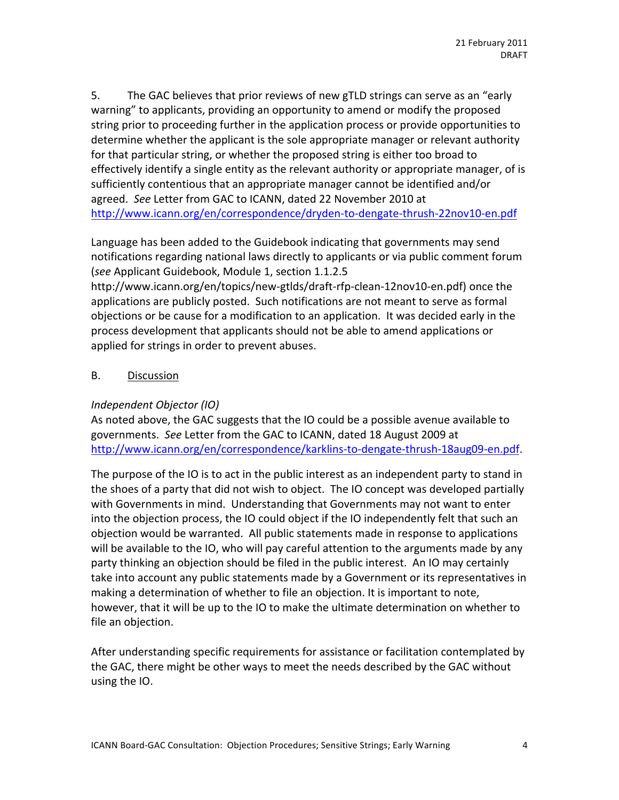5. The GAC believes that prior reviews of new gTLD strings can serve as an "early warning" to applicants, providing an opportunity to amend or modify the proposed string prior to proceeding further in the application process or provide opportunities to determine whether the applicant is the sole appropriate manager or relevant authority for that particular string, or whether the proposed string is either too broad to effectively identify a single entity as the relevant authority or appropriate manager, of is sufficiently contentious that an appropriate manager cannot be identified and/or agreed. See Letter from GAC to ICANN, dated 22 November 2010 at http://www.icann.org/en/correspondence/dryden-to-dengate-thrush-22nov10-en.pdf

Language has been added to the Guidebook indicating that governments may send notifications regarding national laws directly to applicants or via public comment forum (see Applicant Guidebook, Module 1, section 1.1.2.5

http://www.icann.org/en/topics/new-gtlds/draft-rfp-clean-12nov10-en.pdf) once the applications are publicly posted. Such notifications are not meant to serve as formal objections or be cause for a modification to an application. It was decided early in the process development that applicants should not be able to amend applications or applied for strings in order to prevent abuses.

## B. Discussion

### *Independent#Objector#(IO)*

As noted above, the GAC suggests that the IO could be a possible avenue available to governments. See Letter from the GAC to ICANN, dated 18 August 2009 at http://www.icann.org/en/correspondence/karklins-to-dengate-thrush-18aug09-en.pdf.

The purpose of the IO is to act in the public interest as an independent party to stand in the shoes of a party that did not wish to object. The IO concept was developed partially with Governments in mind. Understanding that Governments may not want to enter into the objection process, the IO could object if the IO independently felt that such an objection would be warranted. All public statements made in response to applications will be available to the IO, who will pay careful attention to the arguments made by any party thinking an objection should be filed in the public interest. An IO may certainly take into account any public statements made by a Government or its representatives in making a determination of whether to file an objection. It is important to note, however, that it will be up to the IO to make the ultimate determination on whether to file an objection.

After understanding specific requirements for assistance or facilitation contemplated by the GAC, there might be other ways to meet the needs described by the GAC without using the IO.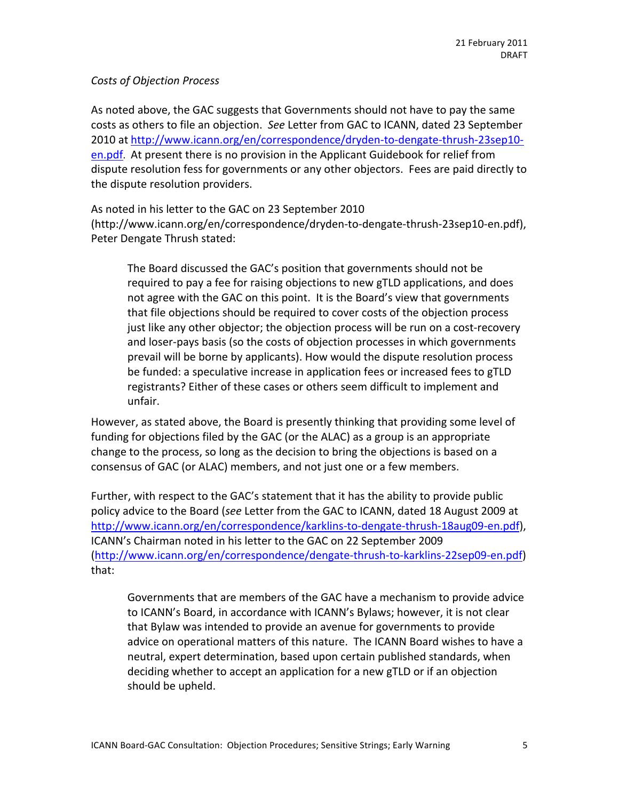### **Costs of Objection Process**

As noted above, the GAC suggests that Governments should not have to pay the same costs as others to file an objection. See Letter from GAC to ICANN, dated 23 September 2010 at http://www.icann.org/en/correspondence/dryden-to-dengate-thrush-23sep10en.pdf. At present there is no provision in the Applicant Guidebook for relief from dispute resolution fess for governments or any other objectors. Fees are paid directly to the dispute resolution providers.

As noted in his letter to the GAC on 23 September 2010 (http://www.icann.org/en/correspondence/dryden-to-dengate-thrush-23sep10-en.pdf), Peter Dengate Thrush stated:

The Board discussed the GAC's position that governments should not be required to pay a fee for raising objections to new gTLD applications, and does not agree with the GAC on this point. It is the Board's view that governments that file objections should be required to cover costs of the objection process just like any other objector; the objection process will be run on a cost-recovery and loser-pays basis (so the costs of objection processes in which governments prevail will be borne by applicants). How would the dispute resolution process be funded: a speculative increase in application fees or increased fees to gTLD registrants? Either of these cases or others seem difficult to implement and unfair.

However, as stated above, the Board is presently thinking that providing some level of funding for objections filed by the GAC (or the ALAC) as a group is an appropriate change to the process, so long as the decision to bring the objections is based on a consensus of GAC (or ALAC) members, and not just one or a few members.

Further, with respect to the GAC's statement that it has the ability to provide public policy advice to the Board (see Letter from the GAC to ICANN, dated 18 August 2009 at http://www.icann.org/en/correspondence/karklins-to-dengate-thrush-18aug09-en.pdf), ICANN's Chairman noted in his letter to the GAC on 22 September 2009 (http://www.icann.org/en/correspondence/dengate-thrush-to-karklins-22sep09-en.pdf) that:

Governments that are members of the GAC have a mechanism to provide advice to ICANN's Board, in accordance with ICANN's Bylaws; however, it is not clear that Bylaw was intended to provide an avenue for governments to provide advice on operational matters of this nature. The ICANN Board wishes to have a neutral, expert determination, based upon certain published standards, when deciding whether to accept an application for a new gTLD or if an objection should be upheld.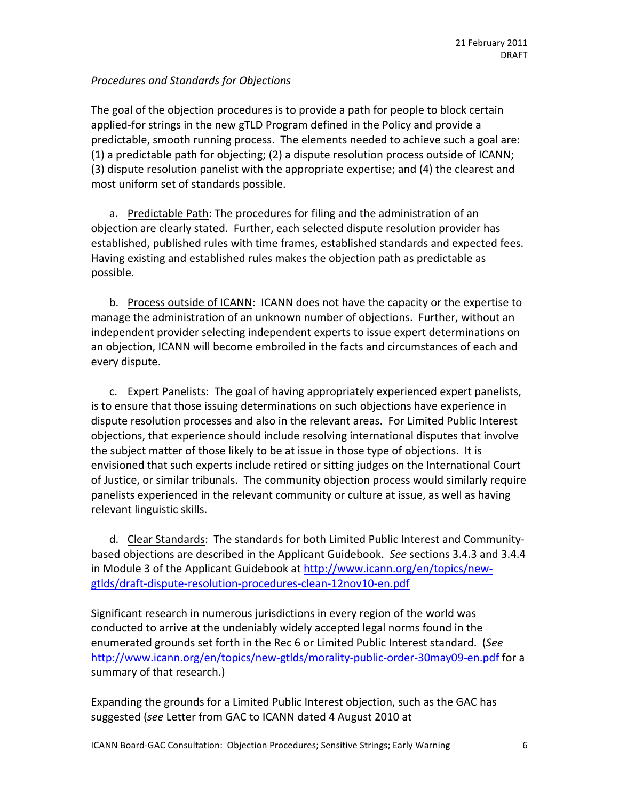## *Procedures#and#Standards#for#Objections*

The goal of the objection procedures is to provide a path for people to block certain applied-for strings in the new gTLD Program defined in the Policy and provide a predictable, smooth running process. The elements needed to achieve such a goal are: (1) a predictable path for objecting; (2) a dispute resolution process outside of ICANN; (3) dispute resolution panelist with the appropriate expertise; and  $(4)$  the clearest and most uniform set of standards possible.

a. Predictable Path: The procedures for filing and the administration of an objection are clearly stated. Further, each selected dispute resolution provider has established, published rules with time frames, established standards and expected fees. Having existing and established rules makes the objection path as predictable as possible.

b. Process outside of ICANN: ICANN does not have the capacity or the expertise to manage the administration of an unknown number of objections. Further, without an independent provider selecting independent experts to issue expert determinations on an objection, ICANN will become embroiled in the facts and circumstances of each and every dispute.

c. Expert Panelists: The goal of having appropriately experienced expert panelists, is to ensure that those issuing determinations on such objections have experience in dispute resolution processes and also in the relevant areas. For Limited Public Interest objections, that experience should include resolving international disputes that involve the subject matter of those likely to be at issue in those type of objections. It is envisioned that such experts include retired or sitting judges on the International Court of Justice, or similar tribunals. The community objection process would similarly require panelists experienced in the relevant community or culture at issue, as well as having relevant linguistic skills.

d. Clear Standards: The standards for both Limited Public Interest and Communitybased objections are described in the Applicant Guidebook. See sections 3.4.3 and 3.4.4 in Module 3 of the Applicant Guidebook at http://www.icann.org/en/topics/newgtlds/draft-dispute-resolution-procedures-clean-12nov10-en.pdf

Significant research in numerous jurisdictions in every region of the world was conducted to arrive at the undeniably widely accepted legal norms found in the enumerated grounds set forth in the Rec 6 or Limited Public Interest standard. (See http://www.icann.org/en/topics/new-gtlds/morality-public-order-30may09-en.pdf for a summary of that research.)

Expanding the grounds for a Limited Public Interest objection, such as the GAC has suggested (*see* Letter from GAC to ICANN dated 4 August 2010 at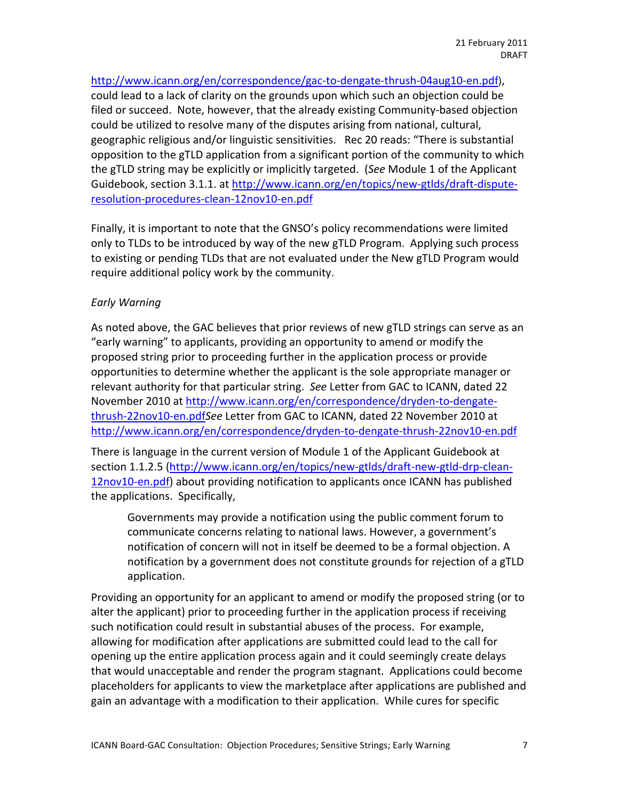http://www.icann.org/en/correspondence/gac-to-dengate-thrush-04aug10-en.pdf), could lead to a lack of clarity on the grounds upon which such an objection could be filed or succeed. Note, however, that the already existing Community-based objection could be utilized to resolve many of the disputes arising from national, cultural, geographic religious and/or linguistic sensitivities. Rec 20 reads: "There is substantial opposition to the gTLD application from a significant portion of the community to which the gTLD string may be explicitly or implicitly targeted. (*See* Module 1 of the Applicant Guidebook, section 3.1.1. at http://www.icann.org/en/topics/new-gtlds/draft-disputeresolution-procedures-clean-12nov10-en.pdf

Finally, it is important to note that the GNSO's policy recommendations were limited only to TLDs to be introduced by way of the new gTLD Program. Applying such process to existing or pending TLDs that are not evaluated under the New gTLD Program would require additional policy work by the community.

## *Early#Warning*

As noted above, the GAC believes that prior reviews of new gTLD strings can serve as an "early warning" to applicants, providing an opportunity to amend or modify the proposed string prior to proceeding further in the application process or provide opportunities to determine whether the applicant is the sole appropriate manager or relevant authority for that particular string. See Letter from GAC to ICANN, dated 22 November 2010 at http://www.icann.org/en/correspondence/dryden-to-dengatethrush-22nov10-en.pdfSee Letter from GAC to ICANN, dated 22 November 2010 at http://www.icann.org/en/correspondence/dryden-to-dengate-thrush-22nov10-en.pdf

There is language in the current version of Module 1 of the Applicant Guidebook at section 1.1.2.5 (http://www.icann.org/en/topics/new-gtlds/draft-new-gtld-drp-clean-12nov10-en.pdf) about providing notification to applicants once ICANN has published the applications. Specifically,

Governments may provide a notification using the public comment forum to communicate concerns relating to national laws. However, a government's notification of concern will not in itself be deemed to be a formal objection. A notification by a government does not constitute grounds for rejection of a gTLD application.

Providing an opportunity for an applicant to amend or modify the proposed string (or to alter the applicant) prior to proceeding further in the application process if receiving such notification could result in substantial abuses of the process. For example, allowing for modification after applications are submitted could lead to the call for opening up the entire application process again and it could seemingly create delays that would unacceptable and render the program stagnant. Applications could become placeholders for applicants to view the marketplace after applications are published and gain an advantage with a modification to their application. While cures for specific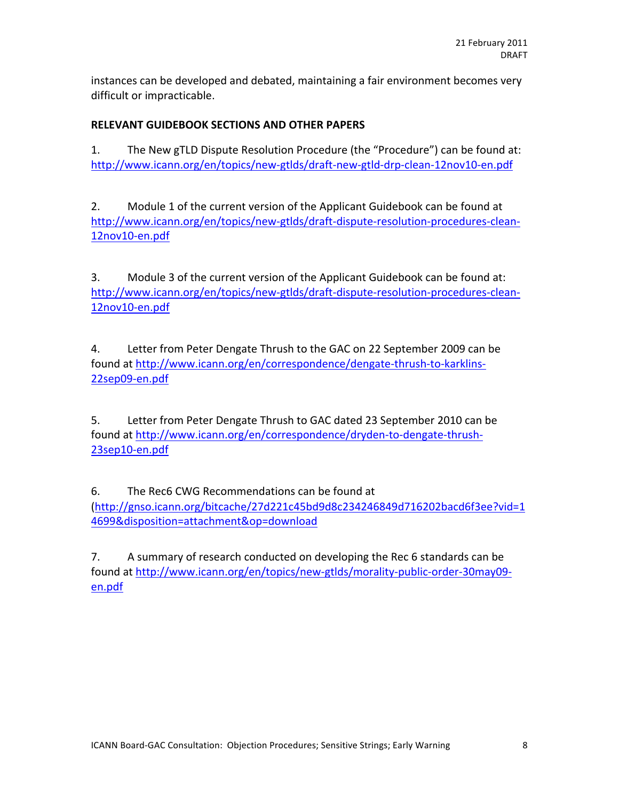instances can be developed and debated, maintaining a fair environment becomes very difficult or impracticable.

## **RELEVANT GUIDEBOOK SECTIONS AND OTHER PAPERS**

1. The New gTLD Dispute Resolution Procedure (the "Procedure") can be found at: http://www.icann.org/en/topics/new-gtlds/draft-new-gtld-drp-clean-12nov10-en.pdf

2. Module 1 of the current version of the Applicant Guidebook can be found at http://www.icann.org/en/topics/new-gtlds/draft-dispute-resolution-procedures-clean-12nov10-en.pdf

3. Module 3 of the current version of the Applicant Guidebook can be found at: http://www.icann.org/en/topics/new-gtlds/draft-dispute-resolution-procedures-clean-12nov10-en.pdf

4. Letter from Peter Dengate Thrush to the GAC on 22 September 2009 can be found at http://www.icann.org/en/correspondence/dengate-thrush-to-karklins-22sep09-en.pdf

5. Letter from Peter Dengate Thrush to GAC dated 23 September 2010 can be found at http://www.icann.org/en/correspondence/dryden-to-dengate-thrush-23sep10-en.pdf

6. The Rec6 CWG Recommendations can be found at (http://gnso.icann.org/bitcache/27d221c45bd9d8c234246849d716202bacd6f3ee?vid=1 4699&disposition=attachment&op=download

7. A summary of research conducted on developing the Rec 6 standards can be found at http://www.icann.org/en/topics/new-gtlds/morality-public-order-30may09en.pdf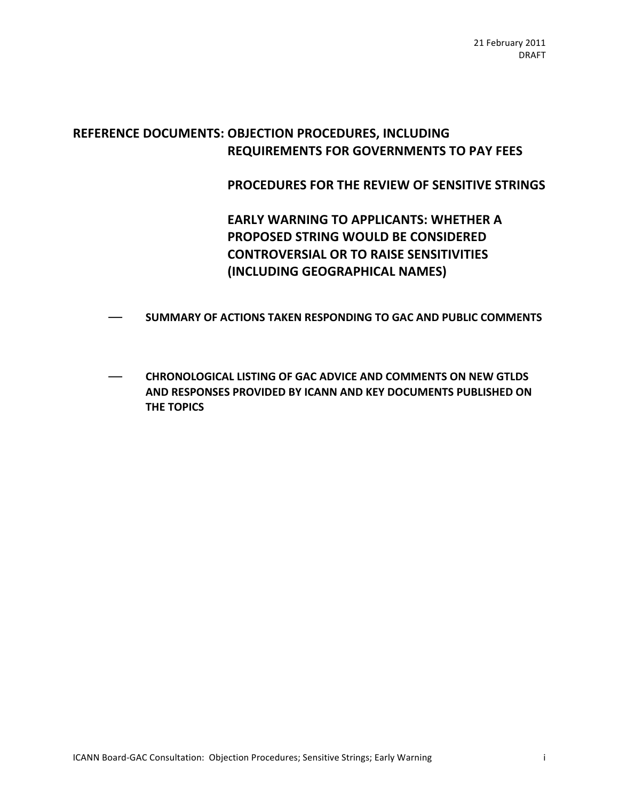# REFERENCE DOCUMENTS: OBJECTION PROCEDURES, INCLUDING **REQUIREMENTS FOR GOVERNMENTS TO PAY FEES**

PROCEDURES FOR THE REVIEW OF SENSITIVE STRINGS

**EARLY WARNING TO APPLICANTS: WHETHER A PROPOSED STRING WOULD BE CONSIDERED CONTROVERSIAL OR TO RAISE SENSITIVITIES (INCLUDING!GEOGRAPHICAL!NAMES)**

- **SUMMARY OF ACTIONS TAKEN RESPONDING TO GAC AND PUBLIC COMMENTS**
- **CHRONOLOGICAL LISTING OF GAC ADVICE AND COMMENTS ON NEW GTLDS AND RESPONSES PROVIDED BY ICANN AND KEY DOCUMENTS PUBLISHED ON THE TOPICS**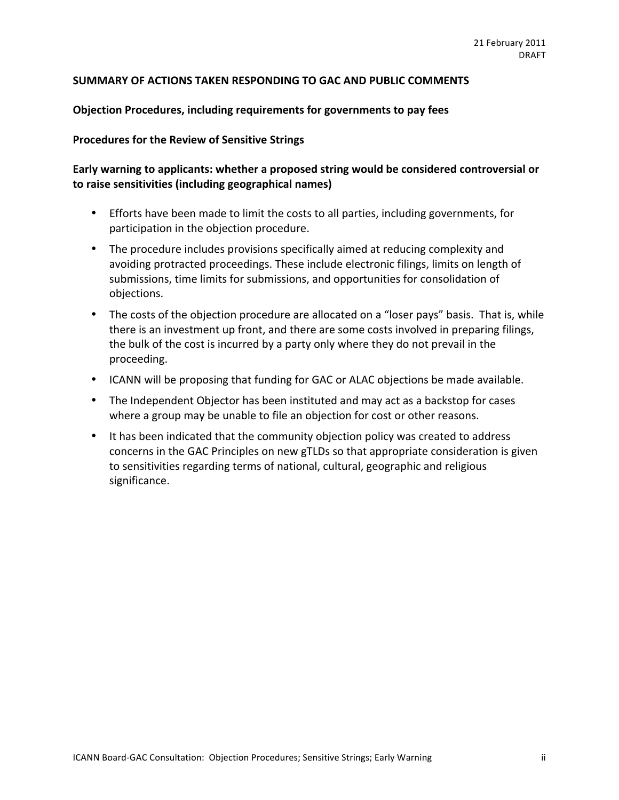#### SUMMARY OF ACTIONS TAKEN RESPONDING TO GAC AND PUBLIC COMMENTS

#### **Objection Procedures, including requirements for governments to pay fees**

#### **Procedures for the Review of Sensitive Strings**

## Early warning to applicants: whether a proposed string would be considered controversial or to raise sensitivities (including geographical names)

- Efforts have been made to limit the costs to all parties, including governments, for participation in the objection procedure.
- The procedure includes provisions specifically aimed at reducing complexity and avoiding protracted proceedings. These include electronic filings, limits on length of submissions, time limits for submissions, and opportunities for consolidation of objections.
- The costs of the objection procedure are allocated on a "loser pays" basis. That is, while there is an investment up front, and there are some costs involved in preparing filings, the bulk of the cost is incurred by a party only where they do not prevail in the proceeding.
- ICANN will be proposing that funding for GAC or ALAC objections be made available.
- The Independent Objector has been instituted and may act as a backstop for cases where a group may be unable to file an objection for cost or other reasons.
- It has been indicated that the community objection policy was created to address concerns in the GAC Principles on new gTLDs so that appropriate consideration is given to sensitivities regarding terms of national, cultural, geographic and religious significance.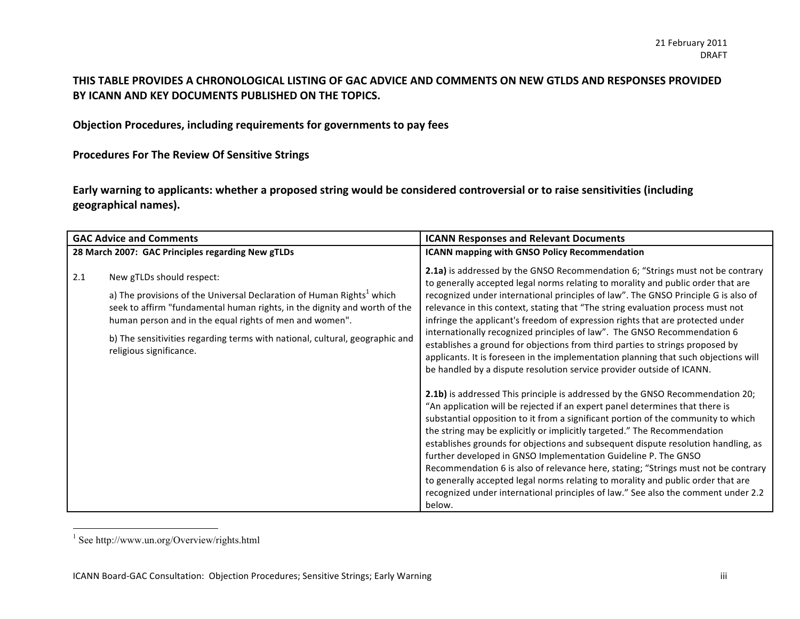## THIS TABLE PROVIDES A CHRONOLOGICAL LISTING OF GAC ADVICE AND COMMENTS ON NEW GTLDS AND RESPONSES PROVIDED BY ICANN AND KEY DOCUMENTS PUBLISHED ON THE TOPICS.

**Objection Procedures, including requirements for governments to pay fees** 

**Procedures For The Review Of Sensitive Strings** 

Early warning to applicants: whether a proposed string would be considered controversial or to raise sensitivities (including **geographical%names).**

| <b>GAC Advice and Comments</b>                    |                                                                                                                                                                                                                                                                                                                                                                   | <b>ICANN Responses and Relevant Documents</b>                                                                                                                                                                                                                                                                                                                                                                                                                                                                                                                                                                                                                                                                                                                                                                                                                                                                                                                                                                                                                                                                                                                                                                                                                                                                                                                                                                                                                                                                                |  |
|---------------------------------------------------|-------------------------------------------------------------------------------------------------------------------------------------------------------------------------------------------------------------------------------------------------------------------------------------------------------------------------------------------------------------------|------------------------------------------------------------------------------------------------------------------------------------------------------------------------------------------------------------------------------------------------------------------------------------------------------------------------------------------------------------------------------------------------------------------------------------------------------------------------------------------------------------------------------------------------------------------------------------------------------------------------------------------------------------------------------------------------------------------------------------------------------------------------------------------------------------------------------------------------------------------------------------------------------------------------------------------------------------------------------------------------------------------------------------------------------------------------------------------------------------------------------------------------------------------------------------------------------------------------------------------------------------------------------------------------------------------------------------------------------------------------------------------------------------------------------------------------------------------------------------------------------------------------------|--|
| 28 March 2007: GAC Principles regarding New gTLDs |                                                                                                                                                                                                                                                                                                                                                                   | <b>ICANN mapping with GNSO Policy Recommendation</b>                                                                                                                                                                                                                                                                                                                                                                                                                                                                                                                                                                                                                                                                                                                                                                                                                                                                                                                                                                                                                                                                                                                                                                                                                                                                                                                                                                                                                                                                         |  |
| 2.1                                               | New gTLDs should respect:<br>a) The provisions of the Universal Declaration of Human Rights <sup>1</sup> which<br>seek to affirm "fundamental human rights, in the dignity and worth of the<br>human person and in the equal rights of men and women".<br>b) The sensitivities regarding terms with national, cultural, geographic and<br>religious significance. | 2.1a) is addressed by the GNSO Recommendation 6; "Strings must not be contrary<br>to generally accepted legal norms relating to morality and public order that are<br>recognized under international principles of law". The GNSO Principle G is also of<br>relevance in this context, stating that "The string evaluation process must not<br>infringe the applicant's freedom of expression rights that are protected under<br>internationally recognized principles of law". The GNSO Recommendation 6<br>establishes a ground for objections from third parties to strings proposed by<br>applicants. It is foreseen in the implementation planning that such objections will<br>be handled by a dispute resolution service provider outside of ICANN.<br>2.1b) is addressed This principle is addressed by the GNSO Recommendation 20;<br>"An application will be rejected if an expert panel determines that there is<br>substantial opposition to it from a significant portion of the community to which<br>the string may be explicitly or implicitly targeted." The Recommendation<br>establishes grounds for objections and subsequent dispute resolution handling, as<br>further developed in GNSO Implementation Guideline P. The GNSO<br>Recommendation 6 is also of relevance here, stating; "Strings must not be contrary<br>to generally accepted legal norms relating to morality and public order that are<br>recognized under international principles of law." See also the comment under 2.2<br>below. |  |

<sup>&</sup>lt;sup>1</sup> See http://www.un.org/Overview/rights.html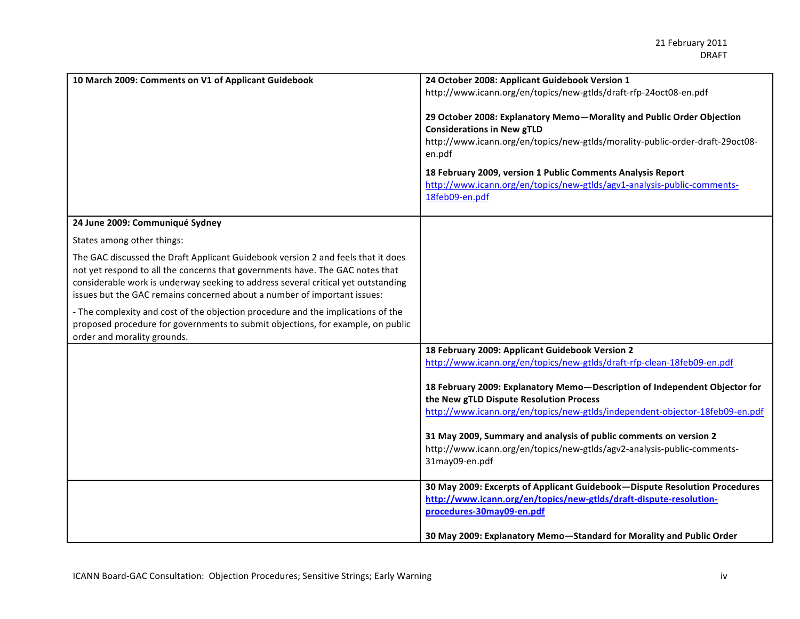| 10 March 2009: Comments on V1 of Applicant Guidebook                                                                                                          | 24 October 2008: Applicant Guidebook Version 1                                            |
|---------------------------------------------------------------------------------------------------------------------------------------------------------------|-------------------------------------------------------------------------------------------|
|                                                                                                                                                               | http://www.icann.org/en/topics/new-gtlds/draft-rfp-24oct08-en.pdf                         |
|                                                                                                                                                               | 29 October 2008: Explanatory Memo-Morality and Public Order Objection                     |
|                                                                                                                                                               | <b>Considerations in New gTLD</b>                                                         |
|                                                                                                                                                               | http://www.icann.org/en/topics/new-gtlds/morality-public-order-draft-29oct08-             |
|                                                                                                                                                               | en.pdf                                                                                    |
|                                                                                                                                                               | 18 February 2009, version 1 Public Comments Analysis Report                               |
|                                                                                                                                                               | http://www.icann.org/en/topics/new-gtlds/agv1-analysis-public-comments-                   |
|                                                                                                                                                               | 18feb09-en.pdf                                                                            |
| 24 June 2009: Communiqué Sydney                                                                                                                               |                                                                                           |
| States among other things:                                                                                                                                    |                                                                                           |
| The GAC discussed the Draft Applicant Guidebook version 2 and feels that it does                                                                              |                                                                                           |
| not yet respond to all the concerns that governments have. The GAC notes that                                                                                 |                                                                                           |
| considerable work is underway seeking to address several critical yet outstanding<br>issues but the GAC remains concerned about a number of important issues: |                                                                                           |
| - The complexity and cost of the objection procedure and the implications of the                                                                              |                                                                                           |
| proposed procedure for governments to submit objections, for example, on public                                                                               |                                                                                           |
| order and morality grounds.                                                                                                                                   |                                                                                           |
|                                                                                                                                                               | 18 February 2009: Applicant Guidebook Version 2                                           |
|                                                                                                                                                               | http://www.icann.org/en/topics/new-gtlds/draft-rfp-clean-18feb09-en.pdf                   |
|                                                                                                                                                               | 18 February 2009: Explanatory Memo-Description of Independent Objector for                |
|                                                                                                                                                               | the New gTLD Dispute Resolution Process                                                   |
|                                                                                                                                                               | http://www.icann.org/en/topics/new-gtlds/independent-objector-18feb09-en.pdf              |
|                                                                                                                                                               |                                                                                           |
|                                                                                                                                                               | 31 May 2009, Summary and analysis of public comments on version 2                         |
|                                                                                                                                                               | http://www.icann.org/en/topics/new-gtlds/agv2-analysis-public-comments-<br>31may09-en.pdf |
|                                                                                                                                                               |                                                                                           |
|                                                                                                                                                               | 30 May 2009: Excerpts of Applicant Guidebook-Dispute Resolution Procedures                |
|                                                                                                                                                               | http://www.icann.org/en/topics/new-gtlds/draft-dispute-resolution-                        |
|                                                                                                                                                               | procedures-30may09-en.pdf                                                                 |
|                                                                                                                                                               | 30 May 2009: Explanatory Memo-Standard for Morality and Public Order                      |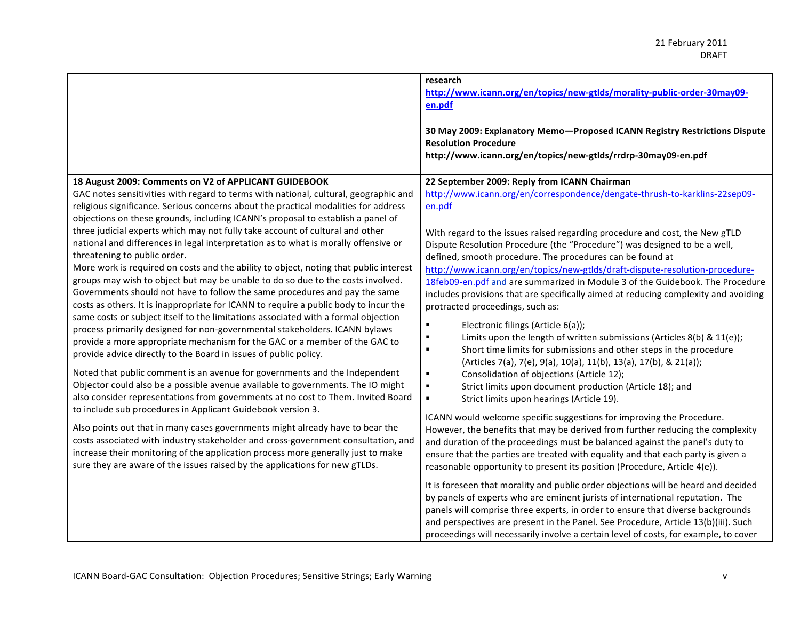|                                                                                                                                                                                                                                                                                                                                                                                                                                                                                                                                                                                                                                                                                                                                                                                                                                                                                                                                                                                                                                                                                                                                                                                                                                                                                                                                                                                                                                                                                                                                                                                                                                                                                                                                                                                                                                                                      | research<br>http://www.icann.org/en/topics/new-gtlds/morality-public-order-30may09-<br>en.pdf                                                                                                                                                                                                                                                                                                                                                                                                                                                                                                                                                                                                                                                                                                                                                                                                                                                                                                                                                                                                                                                                                                                                                                                                                                                                                                                                                                                                                                                                                                                                                                               |
|----------------------------------------------------------------------------------------------------------------------------------------------------------------------------------------------------------------------------------------------------------------------------------------------------------------------------------------------------------------------------------------------------------------------------------------------------------------------------------------------------------------------------------------------------------------------------------------------------------------------------------------------------------------------------------------------------------------------------------------------------------------------------------------------------------------------------------------------------------------------------------------------------------------------------------------------------------------------------------------------------------------------------------------------------------------------------------------------------------------------------------------------------------------------------------------------------------------------------------------------------------------------------------------------------------------------------------------------------------------------------------------------------------------------------------------------------------------------------------------------------------------------------------------------------------------------------------------------------------------------------------------------------------------------------------------------------------------------------------------------------------------------------------------------------------------------------------------------------------------------|-----------------------------------------------------------------------------------------------------------------------------------------------------------------------------------------------------------------------------------------------------------------------------------------------------------------------------------------------------------------------------------------------------------------------------------------------------------------------------------------------------------------------------------------------------------------------------------------------------------------------------------------------------------------------------------------------------------------------------------------------------------------------------------------------------------------------------------------------------------------------------------------------------------------------------------------------------------------------------------------------------------------------------------------------------------------------------------------------------------------------------------------------------------------------------------------------------------------------------------------------------------------------------------------------------------------------------------------------------------------------------------------------------------------------------------------------------------------------------------------------------------------------------------------------------------------------------------------------------------------------------------------------------------------------------|
|                                                                                                                                                                                                                                                                                                                                                                                                                                                                                                                                                                                                                                                                                                                                                                                                                                                                                                                                                                                                                                                                                                                                                                                                                                                                                                                                                                                                                                                                                                                                                                                                                                                                                                                                                                                                                                                                      | 30 May 2009: Explanatory Memo-Proposed ICANN Registry Restrictions Dispute<br><b>Resolution Procedure</b><br>http://www.icann.org/en/topics/new-gtlds/rrdrp-30may09-en.pdf                                                                                                                                                                                                                                                                                                                                                                                                                                                                                                                                                                                                                                                                                                                                                                                                                                                                                                                                                                                                                                                                                                                                                                                                                                                                                                                                                                                                                                                                                                  |
| 18 August 2009: Comments on V2 of APPLICANT GUIDEBOOK<br>GAC notes sensitivities with regard to terms with national, cultural, geographic and<br>religious significance. Serious concerns about the practical modalities for address<br>objections on these grounds, including ICANN's proposal to establish a panel of<br>three judicial experts which may not fully take account of cultural and other<br>national and differences in legal interpretation as to what is morally offensive or<br>threatening to public order.<br>More work is required on costs and the ability to object, noting that public interest<br>groups may wish to object but may be unable to do so due to the costs involved.<br>Governments should not have to follow the same procedures and pay the same<br>costs as others. It is inappropriate for ICANN to require a public body to incur the<br>same costs or subject itself to the limitations associated with a formal objection<br>process primarily designed for non-governmental stakeholders. ICANN bylaws<br>provide a more appropriate mechanism for the GAC or a member of the GAC to<br>provide advice directly to the Board in issues of public policy.<br>Noted that public comment is an avenue for governments and the Independent<br>Objector could also be a possible avenue available to governments. The IO might<br>also consider representations from governments at no cost to Them. Invited Board<br>to include sub procedures in Applicant Guidebook version 3.<br>Also points out that in many cases governments might already have to bear the<br>costs associated with industry stakeholder and cross-government consultation, and<br>increase their monitoring of the application process more generally just to make<br>sure they are aware of the issues raised by the applications for new gTLDs. | 22 September 2009: Reply from ICANN Chairman<br>http://www.icann.org/en/correspondence/dengate-thrush-to-karklins-22sep09-<br>en.pdf<br>With regard to the issues raised regarding procedure and cost, the New gTLD<br>Dispute Resolution Procedure (the "Procedure") was designed to be a well,<br>defined, smooth procedure. The procedures can be found at<br>http://www.icann.org/en/topics/new-gtlds/draft-dispute-resolution-procedure-<br>18feb09-en.pdf and are summarized in Module 3 of the Guidebook. The Procedure<br>includes provisions that are specifically aimed at reducing complexity and avoiding<br>protracted proceedings, such as:<br>Electronic filings (Article 6(a));<br>٠<br>Limits upon the length of written submissions (Articles 8(b) & 11(e));<br>$\blacksquare$<br>Short time limits for submissions and other steps in the procedure<br>$\blacksquare$<br>(Articles 7(a), 7(e), 9(a), 10(a), 11(b), 13(a), 17(b), & 21(a));<br>Consolidation of objections (Article 12);<br>$\blacksquare$<br>$\blacksquare$<br>Strict limits upon document production (Article 18); and<br>$\blacksquare$<br>Strict limits upon hearings (Article 19).<br>ICANN would welcome specific suggestions for improving the Procedure.<br>However, the benefits that may be derived from further reducing the complexity<br>and duration of the proceedings must be balanced against the panel's duty to<br>ensure that the parties are treated with equality and that each party is given a<br>reasonable opportunity to present its position (Procedure, Article 4(e)).<br>It is foreseen that morality and public order objections will be heard and decided |
|                                                                                                                                                                                                                                                                                                                                                                                                                                                                                                                                                                                                                                                                                                                                                                                                                                                                                                                                                                                                                                                                                                                                                                                                                                                                                                                                                                                                                                                                                                                                                                                                                                                                                                                                                                                                                                                                      | by panels of experts who are eminent jurists of international reputation. The<br>panels will comprise three experts, in order to ensure that diverse backgrounds<br>and perspectives are present in the Panel. See Procedure, Article 13(b)(iii). Such<br>proceedings will necessarily involve a certain level of costs, for example, to cover                                                                                                                                                                                                                                                                                                                                                                                                                                                                                                                                                                                                                                                                                                                                                                                                                                                                                                                                                                                                                                                                                                                                                                                                                                                                                                                              |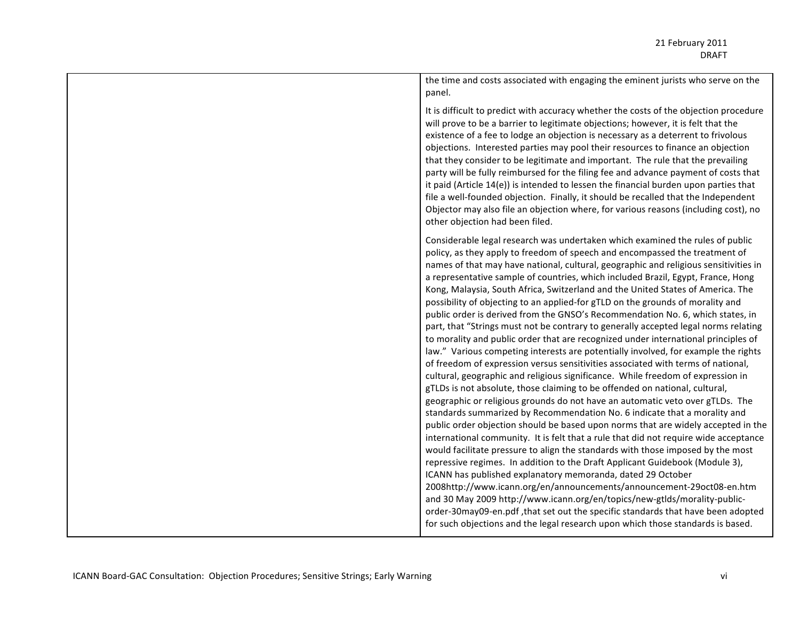the time and costs associated with engaging the eminent jurists who serve on the panel.

It is difficult to predict with accuracy whether the costs of the objection procedure will prove to be a barrier to legitimate objections; however, it is felt that the existence of a fee to lodge an objection is necessary as a deterrent to frivolous objections. Interested parties may pool their resources to finance an objection that they consider to be legitimate and important. The rule that the prevailing party will be fully reimbursed for the filing fee and advance payment of costs that it paid (Article  $14(e)$ ) is intended to lessen the financial burden upon parties that file a well-founded objection. Finally, it should be recalled that the Independent Objector may also file an objection where, for various reasons (including cost), no other objection had been filed.

Considerable legal research was undertaken which examined the rules of public policy, as they apply to freedom of speech and encompassed the treatment of names of that may have national, cultural, geographic and religious sensitivities in a representative sample of countries, which included Brazil, Egypt, France, Hong Kong, Malaysia, South Africa, Switzerland and the United States of America. The possibility of objecting to an applied-for gTLD on the grounds of morality and public order is derived from the GNSO's Recommendation No. 6, which states, in part, that "Strings must not be contrary to generally accepted legal norms relating to morality and public order that are recognized under international principles of law." Various competing interests are potentially involved, for example the rights of freedom of expression versus sensitivities associated with terms of national, cultural, geographic and religious significance. While freedom of expression in gTLDs is not absolute, those claiming to be offended on national, cultural, geographic or religious grounds do not have an automatic veto over gTLDs. The standards summarized by Recommendation No. 6 indicate that a morality and public order objection should be based upon norms that are widely accepted in the international community. It is felt that a rule that did not require wide acceptance would facilitate pressure to align the standards with those imposed by the most repressive regimes. In addition to the Draft Applicant Guidebook (Module 3), ICANN has published explanatory memoranda, dated 29 October 2008http://www.icann.org/en/announcements/announcement-29oct08-en.htm and 30 May 2009 http://www.icann.org/en/topics/new-gtlds/morality-publicorder-30may09-en.pdf, that set out the specific standards that have been adopted for such objections and the legal research upon which those standards is based.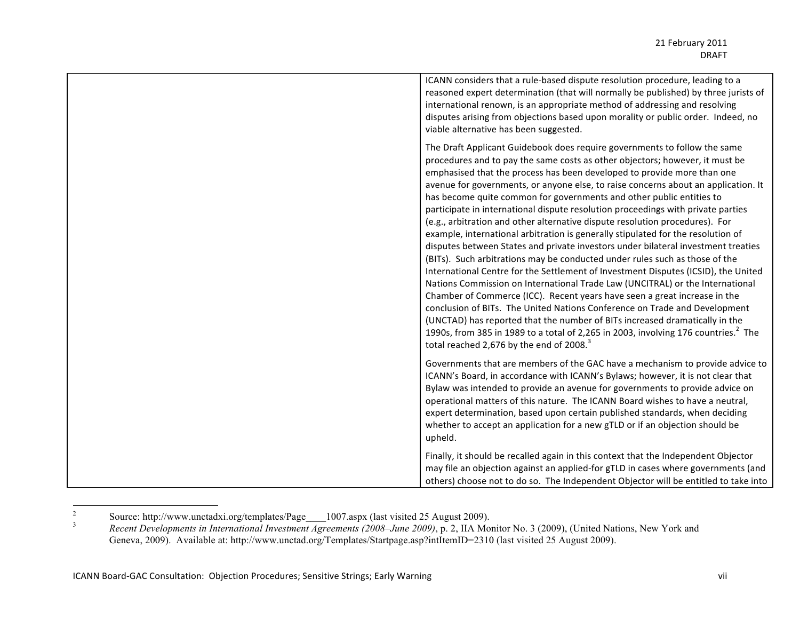| ICANN considers that a rule-based dispute resolution procedure, leading to a<br>reasoned expert determination (that will normally be published) by three jurists of<br>international renown, is an appropriate method of addressing and resolving<br>disputes arising from objections based upon morality or public order. Indeed, no<br>viable alternative has been suggested.                                                                                                                                                                                                                                                                                                                                                                                                                                                                                                                                                                                                                                                                                                                                                                                                                                                                                                                                                                                                                           |
|-----------------------------------------------------------------------------------------------------------------------------------------------------------------------------------------------------------------------------------------------------------------------------------------------------------------------------------------------------------------------------------------------------------------------------------------------------------------------------------------------------------------------------------------------------------------------------------------------------------------------------------------------------------------------------------------------------------------------------------------------------------------------------------------------------------------------------------------------------------------------------------------------------------------------------------------------------------------------------------------------------------------------------------------------------------------------------------------------------------------------------------------------------------------------------------------------------------------------------------------------------------------------------------------------------------------------------------------------------------------------------------------------------------|
| The Draft Applicant Guidebook does require governments to follow the same<br>procedures and to pay the same costs as other objectors; however, it must be<br>emphasised that the process has been developed to provide more than one<br>avenue for governments, or anyone else, to raise concerns about an application. It<br>has become quite common for governments and other public entities to<br>participate in international dispute resolution proceedings with private parties<br>(e.g., arbitration and other alternative dispute resolution procedures). For<br>example, international arbitration is generally stipulated for the resolution of<br>disputes between States and private investors under bilateral investment treaties<br>(BITs). Such arbitrations may be conducted under rules such as those of the<br>International Centre for the Settlement of Investment Disputes (ICSID), the United<br>Nations Commission on International Trade Law (UNCITRAL) or the International<br>Chamber of Commerce (ICC). Recent years have seen a great increase in the<br>conclusion of BITs. The United Nations Conference on Trade and Development<br>(UNCTAD) has reported that the number of BITs increased dramatically in the<br>1990s, from 385 in 1989 to a total of 2,265 in 2003, involving 176 countries. <sup>2</sup> The<br>total reached 2,676 by the end of 2008. <sup>3</sup> |
| Governments that are members of the GAC have a mechanism to provide advice to<br>ICANN's Board, in accordance with ICANN's Bylaws; however, it is not clear that<br>Bylaw was intended to provide an avenue for governments to provide advice on<br>operational matters of this nature. The ICANN Board wishes to have a neutral,<br>expert determination, based upon certain published standards, when deciding<br>whether to accept an application for a new gTLD or if an objection should be<br>upheld.                                                                                                                                                                                                                                                                                                                                                                                                                                                                                                                                                                                                                                                                                                                                                                                                                                                                                               |
| Finally, it should be recalled again in this context that the Independent Objector<br>may file an objection against an applied-for gTLD in cases where governments (and<br>others) choose not to do so. The Independent Objector will be entitled to take into                                                                                                                                                                                                                                                                                                                                                                                                                                                                                                                                                                                                                                                                                                                                                                                                                                                                                                                                                                                                                                                                                                                                            |

Source: http://www.unctadxi.org/templates/Page\_\_1007.aspx (last visited 25 August 2009).<br>Recent Developments in International Investment Agreements (2008–June 2009), p. 2, IIA Monitor No. 3 (2009), (United Nations, New Yor Geneva, 2009). Available at: http://www.unctad.org/Templates/Startpage.asp?intItemID=2310 (last visited 25 August 2009).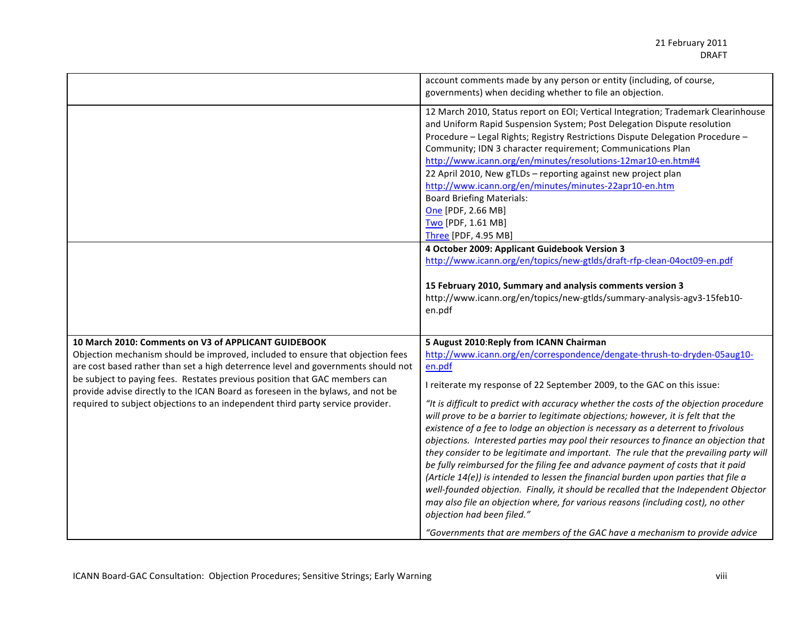|                                                                                                                                                                                                                                                                                                                                                                                                                                                                                | account comments made by any person or entity (including, of course,<br>governments) when deciding whether to file an objection.                                                                                                                                                                                                                                                                                                                                                                                                                                                                                                                                                                                                                                                                                                                                                                                                                                                                                                                                                                                                   |
|--------------------------------------------------------------------------------------------------------------------------------------------------------------------------------------------------------------------------------------------------------------------------------------------------------------------------------------------------------------------------------------------------------------------------------------------------------------------------------|------------------------------------------------------------------------------------------------------------------------------------------------------------------------------------------------------------------------------------------------------------------------------------------------------------------------------------------------------------------------------------------------------------------------------------------------------------------------------------------------------------------------------------------------------------------------------------------------------------------------------------------------------------------------------------------------------------------------------------------------------------------------------------------------------------------------------------------------------------------------------------------------------------------------------------------------------------------------------------------------------------------------------------------------------------------------------------------------------------------------------------|
|                                                                                                                                                                                                                                                                                                                                                                                                                                                                                | 12 March 2010, Status report on EOI; Vertical Integration; Trademark Clearinhouse<br>and Uniform Rapid Suspension System; Post Delegation Dispute resolution<br>Procedure - Legal Rights; Registry Restrictions Dispute Delegation Procedure -<br>Community; IDN 3 character requirement; Communications Plan<br>http://www.icann.org/en/minutes/resolutions-12mar10-en.htm#4<br>22 April 2010, New gTLDs - reporting against new project plan<br>http://www.icann.org/en/minutes/minutes-22apr10-en.htm<br><b>Board Briefing Materials:</b><br>One [PDF, 2.66 MB]<br>Two [PDF, 1.61 MB]<br>Three [PDF, 4.95 MB]<br>4 October 2009: Applicant Guidebook Version 3<br>http://www.icann.org/en/topics/new-gtlds/draft-rfp-clean-04oct09-en.pdf<br>15 February 2010, Summary and analysis comments version 3<br>http://www.icann.org/en/topics/new-gtlds/summary-analysis-agv3-15feb10-                                                                                                                                                                                                                                               |
|                                                                                                                                                                                                                                                                                                                                                                                                                                                                                | en.pdf                                                                                                                                                                                                                                                                                                                                                                                                                                                                                                                                                                                                                                                                                                                                                                                                                                                                                                                                                                                                                                                                                                                             |
| 10 March 2010: Comments on V3 of APPLICANT GUIDEBOOK<br>Objection mechanism should be improved, included to ensure that objection fees<br>are cost based rather than set a high deterrence level and governments should not<br>be subject to paying fees. Restates previous position that GAC members can<br>provide advise directly to the ICAN Board as foreseen in the bylaws, and not be<br>required to subject objections to an independent third party service provider. | 5 August 2010: Reply from ICANN Chairman<br>http://www.icann.org/en/correspondence/dengate-thrush-to-dryden-05aug10-<br>en.pdf<br>I reiterate my response of 22 September 2009, to the GAC on this issue:<br>"It is difficult to predict with accuracy whether the costs of the objection procedure<br>will prove to be a barrier to legitimate objections; however, it is felt that the<br>existence of a fee to lodge an objection is necessary as a deterrent to frivolous<br>objections. Interested parties may pool their resources to finance an objection that<br>they consider to be legitimate and important. The rule that the prevailing party will<br>be fully reimbursed for the filing fee and advance payment of costs that it paid<br>(Article 14(e)) is intended to lessen the financial burden upon parties that file a<br>well-founded objection. Finally, it should be recalled that the Independent Objector<br>may also file an objection where, for various reasons (including cost), no other<br>objection had been filed."<br>"Governments that are members of the GAC have a mechanism to provide advice |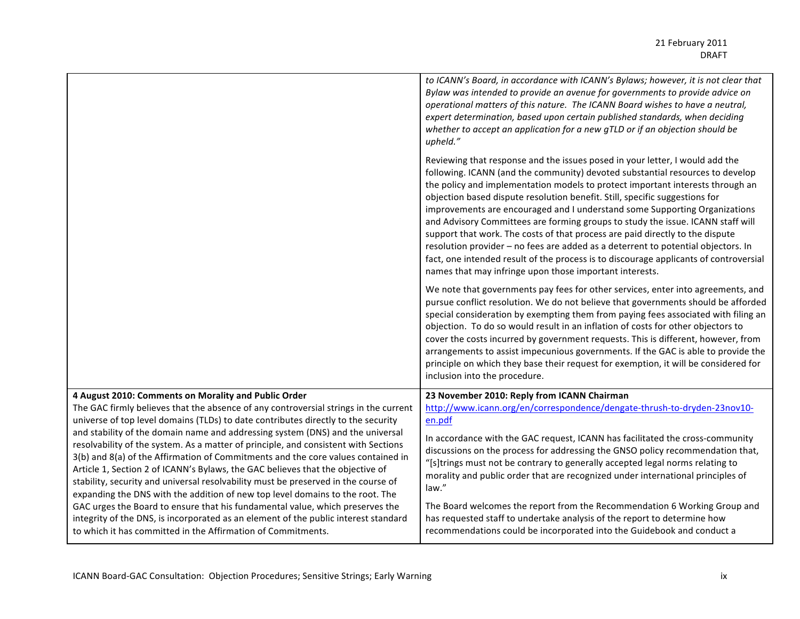|                                                                                                                                                                                                                                                                                                                                                                                                                                                                                                                                                                                                                                                                                                                                                         | to ICANN's Board, in accordance with ICANN's Bylaws; however, it is not clear that<br>Bylaw was intended to provide an avenue for governments to provide advice on<br>operational matters of this nature. The ICANN Board wishes to have a neutral,<br>expert determination, based upon certain published standards, when deciding<br>whether to accept an application for a new gTLD or if an objection should be<br>upheld."                                                                                                                                                                                                                                                                                                                                                                                            |
|---------------------------------------------------------------------------------------------------------------------------------------------------------------------------------------------------------------------------------------------------------------------------------------------------------------------------------------------------------------------------------------------------------------------------------------------------------------------------------------------------------------------------------------------------------------------------------------------------------------------------------------------------------------------------------------------------------------------------------------------------------|---------------------------------------------------------------------------------------------------------------------------------------------------------------------------------------------------------------------------------------------------------------------------------------------------------------------------------------------------------------------------------------------------------------------------------------------------------------------------------------------------------------------------------------------------------------------------------------------------------------------------------------------------------------------------------------------------------------------------------------------------------------------------------------------------------------------------|
|                                                                                                                                                                                                                                                                                                                                                                                                                                                                                                                                                                                                                                                                                                                                                         | Reviewing that response and the issues posed in your letter, I would add the<br>following. ICANN (and the community) devoted substantial resources to develop<br>the policy and implementation models to protect important interests through an<br>objection based dispute resolution benefit. Still, specific suggestions for<br>improvements are encouraged and I understand some Supporting Organizations<br>and Advisory Committees are forming groups to study the issue. ICANN staff will<br>support that work. The costs of that process are paid directly to the dispute<br>resolution provider - no fees are added as a deterrent to potential objectors. In<br>fact, one intended result of the process is to discourage applicants of controversial<br>names that may infringe upon those important interests. |
|                                                                                                                                                                                                                                                                                                                                                                                                                                                                                                                                                                                                                                                                                                                                                         | We note that governments pay fees for other services, enter into agreements, and<br>pursue conflict resolution. We do not believe that governments should be afforded<br>special consideration by exempting them from paying fees associated with filing an<br>objection. To do so would result in an inflation of costs for other objectors to<br>cover the costs incurred by government requests. This is different, however, from<br>arrangements to assist impecunious governments. If the GAC is able to provide the<br>principle on which they base their request for exemption, it will be considered for<br>inclusion into the procedure.                                                                                                                                                                         |
| 4 August 2010: Comments on Morality and Public Order<br>The GAC firmly believes that the absence of any controversial strings in the current<br>universe of top level domains (TLDs) to date contributes directly to the security<br>and stability of the domain name and addressing system (DNS) and the universal<br>resolvability of the system. As a matter of principle, and consistent with Sections<br>3(b) and 8(a) of the Affirmation of Commitments and the core values contained in<br>Article 1, Section 2 of ICANN's Bylaws, the GAC believes that the objective of<br>stability, security and universal resolvability must be preserved in the course of<br>expanding the DNS with the addition of new top level domains to the root. The | 23 November 2010: Reply from ICANN Chairman<br>http://www.icann.org/en/correspondence/dengate-thrush-to-dryden-23nov10-<br>en.pdf                                                                                                                                                                                                                                                                                                                                                                                                                                                                                                                                                                                                                                                                                         |
|                                                                                                                                                                                                                                                                                                                                                                                                                                                                                                                                                                                                                                                                                                                                                         | In accordance with the GAC request, ICANN has facilitated the cross-community<br>discussions on the process for addressing the GNSO policy recommendation that,<br>"[s]trings must not be contrary to generally accepted legal norms relating to<br>morality and public order that are recognized under international principles of<br>law."                                                                                                                                                                                                                                                                                                                                                                                                                                                                              |
| GAC urges the Board to ensure that his fundamental value, which preserves the<br>integrity of the DNS, is incorporated as an element of the public interest standard<br>to which it has committed in the Affirmation of Commitments.                                                                                                                                                                                                                                                                                                                                                                                                                                                                                                                    | The Board welcomes the report from the Recommendation 6 Working Group and<br>has requested staff to undertake analysis of the report to determine how<br>recommendations could be incorporated into the Guidebook and conduct a                                                                                                                                                                                                                                                                                                                                                                                                                                                                                                                                                                                           |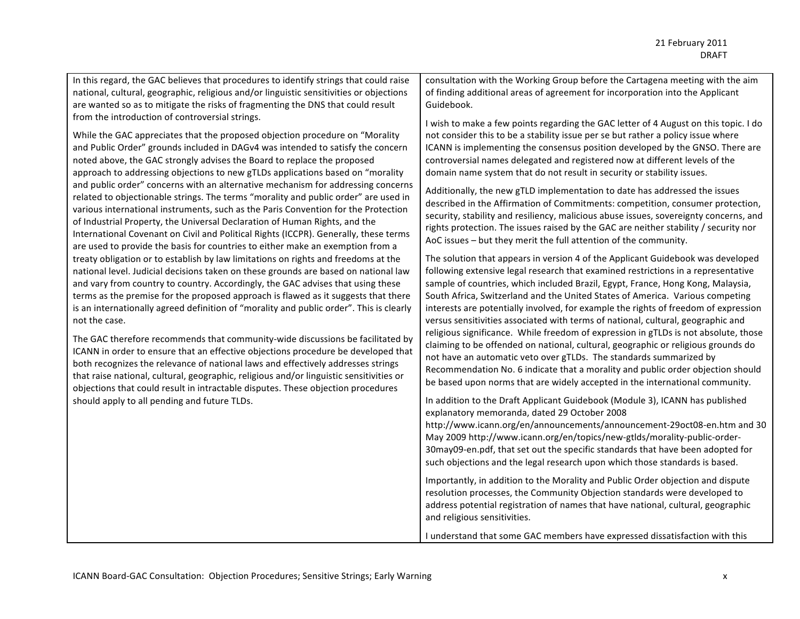In this regard, the GAC believes that procedures to identify strings that could raise national, cultural, geographic, religious and/or linguistic sensitivities or objections are wanted so as to mitigate the risks of fragmenting the DNS that could result from the introduction of controversial strings.

While the GAC appreciates that the proposed objection procedure on "Morality" and Public Order" grounds included in DAGv4 was intended to satisfy the concern noted above, the GAC strongly advises the Board to replace the proposed approach to addressing objections to new gTLDs applications based on "morality" and public order" concerns with an alternative mechanism for addressing concerns related to objectionable strings. The terms "morality and public order" are used in various international instruments, such as the Paris Convention for the Protection of Industrial Property, the Universal Declaration of Human Rights, and the International Covenant on Civil and Political Rights (ICCPR). Generally, these terms are used to provide the basis for countries to either make an exemption from a treaty obligation or to establish by law limitations on rights and freedoms at the national level. Judicial decisions taken on these grounds are based on national law and vary from country to country. Accordingly, the GAC advises that using these terms as the premise for the proposed approach is flawed as it suggests that there is an internationally agreed definition of "morality and public order". This is clearly not the case.

The GAC therefore recommends that community-wide discussions be facilitated by ICANN in order to ensure that an effective objections procedure be developed that both recognizes the relevance of national laws and effectively addresses strings that raise national, cultural, geographic, religious and/or linguistic sensitivities or objections that could result in intractable disputes. These objection procedures should apply to all pending and future TLDs.

consultation with the Working Group before the Cartagena meeting with the aim of finding additional areas of agreement for incorporation into the Applicant Guidebook.#

I wish to make a few points regarding the GAC letter of 4 August on this topic. I do not consider this to be a stability issue per se but rather a policy issue where ICANN is implementing the consensus position developed by the GNSO. There are controversial names delegated and registered now at different levels of the domain name system that do not result in security or stability issues.

Additionally, the new gTLD implementation to date has addressed the issues described in the Affirmation of Commitments: competition, consumer protection, security, stability and resiliency, malicious abuse issues, sovereignty concerns, and rights protection. The issues raised by the GAC are neither stability / security nor AoC issues – but they merit the full attention of the community.

The solution that appears in version 4 of the Applicant Guidebook was developed following extensive legal research that examined restrictions in a representative sample of countries, which included Brazil, Egypt, France, Hong Kong, Malaysia, South Africa, Switzerland and the United States of America. Various competing interests are potentially involved, for example the rights of freedom of expression versus sensitivities associated with terms of national, cultural, geographic and religious significance. While freedom of expression in gTLDs is not absolute, those claiming to be offended on national, cultural, geographic or religious grounds do not have an automatic veto over gTLDs. The standards summarized by Recommendation No. 6 indicate that a morality and public order objection should be based upon norms that are widely accepted in the international community.

In addition to the Draft Applicant Guidebook (Module 3), ICANN has published explanatory memoranda, dated 29 October 2008

http://www.icann.org/en/announcements/announcement-29oct08-en.htm and 30 May 2009 http://www.icann.org/en/topics/new-gtlds/morality-public-order-30may09-en.pdf, that set out the specific standards that have been adopted for such objections and the legal research upon which those standards is based.

Importantly, in addition to the Morality and Public Order objection and dispute resolution processes, the Community Objection standards were developed to address potential registration of names that have national, cultural, geographic and religious sensitivities.

I understand that some GAC members have expressed dissatisfaction with this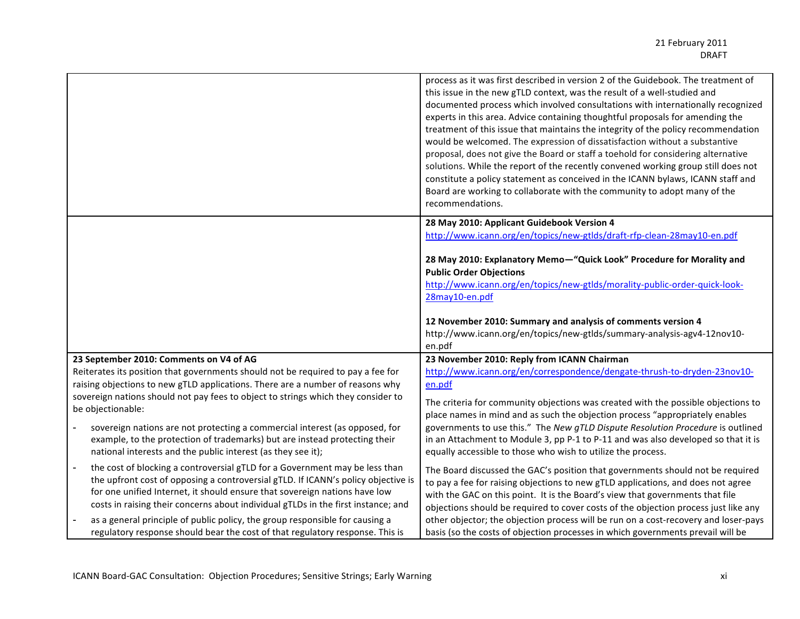|                                                                                                                                                                                                                                                                                                                                                                 | process as it was first described in version 2 of the Guidebook. The treatment of<br>this issue in the new gTLD context, was the result of a well-studied and<br>documented process which involved consultations with internationally recognized<br>experts in this area. Advice containing thoughtful proposals for amending the<br>treatment of this issue that maintains the integrity of the policy recommendation<br>would be welcomed. The expression of dissatisfaction without a substantive<br>proposal, does not give the Board or staff a toehold for considering alternative<br>solutions. While the report of the recently convened working group still does not<br>constitute a policy statement as conceived in the ICANN bylaws, ICANN staff and<br>Board are working to collaborate with the community to adopt many of the<br>recommendations. |  |
|-----------------------------------------------------------------------------------------------------------------------------------------------------------------------------------------------------------------------------------------------------------------------------------------------------------------------------------------------------------------|------------------------------------------------------------------------------------------------------------------------------------------------------------------------------------------------------------------------------------------------------------------------------------------------------------------------------------------------------------------------------------------------------------------------------------------------------------------------------------------------------------------------------------------------------------------------------------------------------------------------------------------------------------------------------------------------------------------------------------------------------------------------------------------------------------------------------------------------------------------|--|
|                                                                                                                                                                                                                                                                                                                                                                 | 28 May 2010: Applicant Guidebook Version 4<br>http://www.icann.org/en/topics/new-gtlds/draft-rfp-clean-28may10-en.pdf                                                                                                                                                                                                                                                                                                                                                                                                                                                                                                                                                                                                                                                                                                                                            |  |
|                                                                                                                                                                                                                                                                                                                                                                 | 28 May 2010: Explanatory Memo-"Quick Look" Procedure for Morality and<br><b>Public Order Objections</b><br>http://www.icann.org/en/topics/new-gtlds/morality-public-order-quick-look-<br>28may10-en.pdf                                                                                                                                                                                                                                                                                                                                                                                                                                                                                                                                                                                                                                                          |  |
|                                                                                                                                                                                                                                                                                                                                                                 | 12 November 2010: Summary and analysis of comments version 4<br>http://www.icann.org/en/topics/new-gtlds/summary-analysis-agv4-12nov10-<br>en.pdf                                                                                                                                                                                                                                                                                                                                                                                                                                                                                                                                                                                                                                                                                                                |  |
| 23 September 2010: Comments on V4 of AG                                                                                                                                                                                                                                                                                                                         | 23 November 2010: Reply from ICANN Chairman                                                                                                                                                                                                                                                                                                                                                                                                                                                                                                                                                                                                                                                                                                                                                                                                                      |  |
| Reiterates its position that governments should not be required to pay a fee for                                                                                                                                                                                                                                                                                | http://www.icann.org/en/correspondence/dengate-thrush-to-dryden-23nov10-                                                                                                                                                                                                                                                                                                                                                                                                                                                                                                                                                                                                                                                                                                                                                                                         |  |
| raising objections to new gTLD applications. There are a number of reasons why                                                                                                                                                                                                                                                                                  | en.pdf                                                                                                                                                                                                                                                                                                                                                                                                                                                                                                                                                                                                                                                                                                                                                                                                                                                           |  |
| sovereign nations should not pay fees to object to strings which they consider to<br>be objectionable:                                                                                                                                                                                                                                                          | The criteria for community objections was created with the possible objections to<br>place names in mind and as such the objection process "appropriately enables                                                                                                                                                                                                                                                                                                                                                                                                                                                                                                                                                                                                                                                                                                |  |
| sovereign nations are not protecting a commercial interest (as opposed, for<br>example, to the protection of trademarks) but are instead protecting their<br>national interests and the public interest (as they see it);                                                                                                                                       | governments to use this." The New gTLD Dispute Resolution Procedure is outlined<br>in an Attachment to Module 3, pp P-1 to P-11 and was also developed so that it is<br>equally accessible to those who wish to utilize the process.                                                                                                                                                                                                                                                                                                                                                                                                                                                                                                                                                                                                                             |  |
| the cost of blocking a controversial gTLD for a Government may be less than<br>$\overline{\phantom{a}}$<br>the upfront cost of opposing a controversial gTLD. If ICANN's policy objective is<br>for one unified Internet, it should ensure that sovereign nations have low<br>costs in raising their concerns about individual gTLDs in the first instance; and | The Board discussed the GAC's position that governments should not be required<br>to pay a fee for raising objections to new gTLD applications, and does not agree<br>with the GAC on this point. It is the Board's view that governments that file<br>objections should be required to cover costs of the objection process just like any                                                                                                                                                                                                                                                                                                                                                                                                                                                                                                                       |  |
| as a general principle of public policy, the group responsible for causing a<br>regulatory response should bear the cost of that regulatory response. This is                                                                                                                                                                                                   | other objector; the objection process will be run on a cost-recovery and loser-pays<br>basis (so the costs of objection processes in which governments prevail will be                                                                                                                                                                                                                                                                                                                                                                                                                                                                                                                                                                                                                                                                                           |  |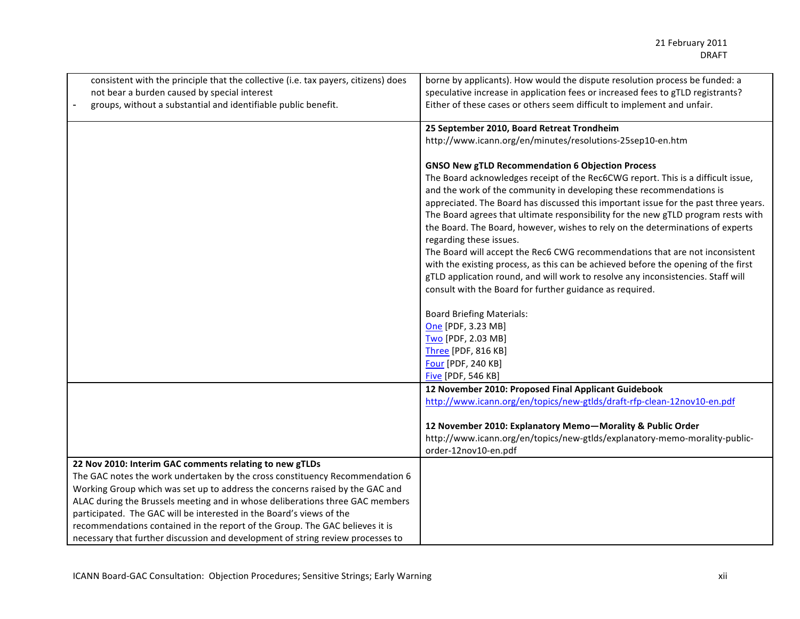| consistent with the principle that the collective (i.e. tax payers, citizens) does<br>not bear a burden caused by special interest<br>groups, without a substantial and identifiable public benefit. | borne by applicants). How would the dispute resolution process be funded: a<br>speculative increase in application fees or increased fees to gTLD registrants?<br>Either of these cases or others seem difficult to implement and unfair.                                                                                                                                                                                                                                                                                                                                                                                                                                                                                                                                                                                          |
|------------------------------------------------------------------------------------------------------------------------------------------------------------------------------------------------------|------------------------------------------------------------------------------------------------------------------------------------------------------------------------------------------------------------------------------------------------------------------------------------------------------------------------------------------------------------------------------------------------------------------------------------------------------------------------------------------------------------------------------------------------------------------------------------------------------------------------------------------------------------------------------------------------------------------------------------------------------------------------------------------------------------------------------------|
|                                                                                                                                                                                                      | 25 September 2010, Board Retreat Trondheim                                                                                                                                                                                                                                                                                                                                                                                                                                                                                                                                                                                                                                                                                                                                                                                         |
|                                                                                                                                                                                                      | http://www.icann.org/en/minutes/resolutions-25sep10-en.htm                                                                                                                                                                                                                                                                                                                                                                                                                                                                                                                                                                                                                                                                                                                                                                         |
|                                                                                                                                                                                                      | <b>GNSO New gTLD Recommendation 6 Objection Process</b><br>The Board acknowledges receipt of the Rec6CWG report. This is a difficult issue,<br>and the work of the community in developing these recommendations is<br>appreciated. The Board has discussed this important issue for the past three years.<br>The Board agrees that ultimate responsibility for the new gTLD program rests with<br>the Board. The Board, however, wishes to rely on the determinations of experts<br>regarding these issues.<br>The Board will accept the Rec6 CWG recommendations that are not inconsistent<br>with the existing process, as this can be achieved before the opening of the first<br>gTLD application round, and will work to resolve any inconsistencies. Staff will<br>consult with the Board for further guidance as required. |
|                                                                                                                                                                                                      |                                                                                                                                                                                                                                                                                                                                                                                                                                                                                                                                                                                                                                                                                                                                                                                                                                    |
|                                                                                                                                                                                                      | <b>Board Briefing Materials:</b>                                                                                                                                                                                                                                                                                                                                                                                                                                                                                                                                                                                                                                                                                                                                                                                                   |
|                                                                                                                                                                                                      | One [PDF, 3.23 MB]                                                                                                                                                                                                                                                                                                                                                                                                                                                                                                                                                                                                                                                                                                                                                                                                                 |
|                                                                                                                                                                                                      | Two [PDF, 2.03 MB]                                                                                                                                                                                                                                                                                                                                                                                                                                                                                                                                                                                                                                                                                                                                                                                                                 |
|                                                                                                                                                                                                      | Three [PDF, 816 KB]                                                                                                                                                                                                                                                                                                                                                                                                                                                                                                                                                                                                                                                                                                                                                                                                                |
|                                                                                                                                                                                                      | Four [PDF, 240 KB]                                                                                                                                                                                                                                                                                                                                                                                                                                                                                                                                                                                                                                                                                                                                                                                                                 |
|                                                                                                                                                                                                      | <b>Five [PDF, 546 KB]</b><br>12 November 2010: Proposed Final Applicant Guidebook                                                                                                                                                                                                                                                                                                                                                                                                                                                                                                                                                                                                                                                                                                                                                  |
|                                                                                                                                                                                                      | http://www.icann.org/en/topics/new-gtlds/draft-rfp-clean-12nov10-en.pdf                                                                                                                                                                                                                                                                                                                                                                                                                                                                                                                                                                                                                                                                                                                                                            |
|                                                                                                                                                                                                      |                                                                                                                                                                                                                                                                                                                                                                                                                                                                                                                                                                                                                                                                                                                                                                                                                                    |
|                                                                                                                                                                                                      | 12 November 2010: Explanatory Memo-Morality & Public Order                                                                                                                                                                                                                                                                                                                                                                                                                                                                                                                                                                                                                                                                                                                                                                         |
|                                                                                                                                                                                                      | http://www.icann.org/en/topics/new-gtlds/explanatory-memo-morality-public-                                                                                                                                                                                                                                                                                                                                                                                                                                                                                                                                                                                                                                                                                                                                                         |
|                                                                                                                                                                                                      | order-12nov10-en.pdf                                                                                                                                                                                                                                                                                                                                                                                                                                                                                                                                                                                                                                                                                                                                                                                                               |
| 22 Nov 2010: Interim GAC comments relating to new gTLDs                                                                                                                                              |                                                                                                                                                                                                                                                                                                                                                                                                                                                                                                                                                                                                                                                                                                                                                                                                                                    |
| The GAC notes the work undertaken by the cross constituency Recommendation 6                                                                                                                         |                                                                                                                                                                                                                                                                                                                                                                                                                                                                                                                                                                                                                                                                                                                                                                                                                                    |
| Working Group which was set up to address the concerns raised by the GAC and                                                                                                                         |                                                                                                                                                                                                                                                                                                                                                                                                                                                                                                                                                                                                                                                                                                                                                                                                                                    |
| ALAC during the Brussels meeting and in whose deliberations three GAC members                                                                                                                        |                                                                                                                                                                                                                                                                                                                                                                                                                                                                                                                                                                                                                                                                                                                                                                                                                                    |
| participated. The GAC will be interested in the Board's views of the                                                                                                                                 |                                                                                                                                                                                                                                                                                                                                                                                                                                                                                                                                                                                                                                                                                                                                                                                                                                    |
| recommendations contained in the report of the Group. The GAC believes it is                                                                                                                         |                                                                                                                                                                                                                                                                                                                                                                                                                                                                                                                                                                                                                                                                                                                                                                                                                                    |
| necessary that further discussion and development of string review processes to                                                                                                                      |                                                                                                                                                                                                                                                                                                                                                                                                                                                                                                                                                                                                                                                                                                                                                                                                                                    |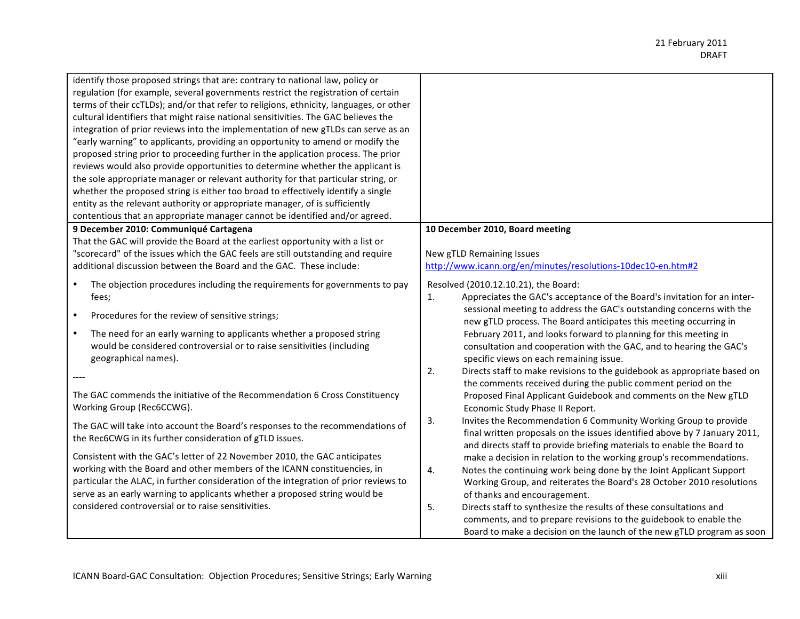| identify those proposed strings that are: contrary to national law, policy or<br>regulation (for example, several governments restrict the registration of certain<br>terms of their ccTLDs); and/or that refer to religions, ethnicity, languages, or other<br>cultural identifiers that might raise national sensitivities. The GAC believes the<br>integration of prior reviews into the implementation of new gTLDs can serve as an<br>"early warning" to applicants, providing an opportunity to amend or modify the<br>proposed string prior to proceeding further in the application process. The prior<br>reviews would also provide opportunities to determine whether the applicant is<br>the sole appropriate manager or relevant authority for that particular string, or<br>whether the proposed string is either too broad to effectively identify a single<br>entity as the relevant authority or appropriate manager, of is sufficiently<br>contentious that an appropriate manager cannot be identified and/or agreed. |                                                                                                                                                                                                                                                                                                                                                                                                                                                                                                                                                                                                              |
|-----------------------------------------------------------------------------------------------------------------------------------------------------------------------------------------------------------------------------------------------------------------------------------------------------------------------------------------------------------------------------------------------------------------------------------------------------------------------------------------------------------------------------------------------------------------------------------------------------------------------------------------------------------------------------------------------------------------------------------------------------------------------------------------------------------------------------------------------------------------------------------------------------------------------------------------------------------------------------------------------------------------------------------------|--------------------------------------------------------------------------------------------------------------------------------------------------------------------------------------------------------------------------------------------------------------------------------------------------------------------------------------------------------------------------------------------------------------------------------------------------------------------------------------------------------------------------------------------------------------------------------------------------------------|
| 9 December 2010: Communiqué Cartagena<br>That the GAC will provide the Board at the earliest opportunity with a list or<br>"scorecard" of the issues which the GAC feels are still outstanding and require<br>additional discussion between the Board and the GAC. These include:                                                                                                                                                                                                                                                                                                                                                                                                                                                                                                                                                                                                                                                                                                                                                       | 10 December 2010, Board meeting<br>New gTLD Remaining Issues<br>http://www.icann.org/en/minutes/resolutions-10dec10-en.htm#2                                                                                                                                                                                                                                                                                                                                                                                                                                                                                 |
| The objection procedures including the requirements for governments to pay<br>$\bullet$<br>fees;<br>Procedures for the review of sensitive strings;<br>$\bullet$<br>$\bullet$<br>The need for an early warning to applicants whether a proposed string<br>would be considered controversial or to raise sensitivities (including<br>geographical names).                                                                                                                                                                                                                                                                                                                                                                                                                                                                                                                                                                                                                                                                                | Resolved (2010.12.10.21), the Board:<br>Appreciates the GAC's acceptance of the Board's invitation for an inter-<br>1.<br>sessional meeting to address the GAC's outstanding concerns with the<br>new gTLD process. The Board anticipates this meeting occurring in<br>February 2011, and looks forward to planning for this meeting in<br>consultation and cooperation with the GAC, and to hearing the GAC's<br>specific views on each remaining issue.<br>2.<br>Directs staff to make revisions to the guidebook as appropriate based on<br>the comments received during the public comment period on the |
| The GAC commends the initiative of the Recommendation 6 Cross Constituency<br>Working Group (Rec6CCWG).<br>The GAC will take into account the Board's responses to the recommendations of<br>the Rec6CWG in its further consideration of gTLD issues.                                                                                                                                                                                                                                                                                                                                                                                                                                                                                                                                                                                                                                                                                                                                                                                   | Proposed Final Applicant Guidebook and comments on the New gTLD<br>Economic Study Phase II Report.<br>Invites the Recommendation 6 Community Working Group to provide<br>3.<br>final written proposals on the issues identified above by 7 January 2011,                                                                                                                                                                                                                                                                                                                                                     |
| Consistent with the GAC's letter of 22 November 2010, the GAC anticipates<br>working with the Board and other members of the ICANN constituencies, in<br>particular the ALAC, in further consideration of the integration of prior reviews to<br>serve as an early warning to applicants whether a proposed string would be<br>considered controversial or to raise sensitivities.                                                                                                                                                                                                                                                                                                                                                                                                                                                                                                                                                                                                                                                      | and directs staff to provide briefing materials to enable the Board to<br>make a decision in relation to the working group's recommendations.<br>Notes the continuing work being done by the Joint Applicant Support<br>4.<br>Working Group, and reiterates the Board's 28 October 2010 resolutions<br>of thanks and encouragement.<br>5.<br>Directs staff to synthesize the results of these consultations and<br>comments, and to prepare revisions to the guidebook to enable the<br>Board to make a decision on the launch of the new gTLD program as soon                                               |